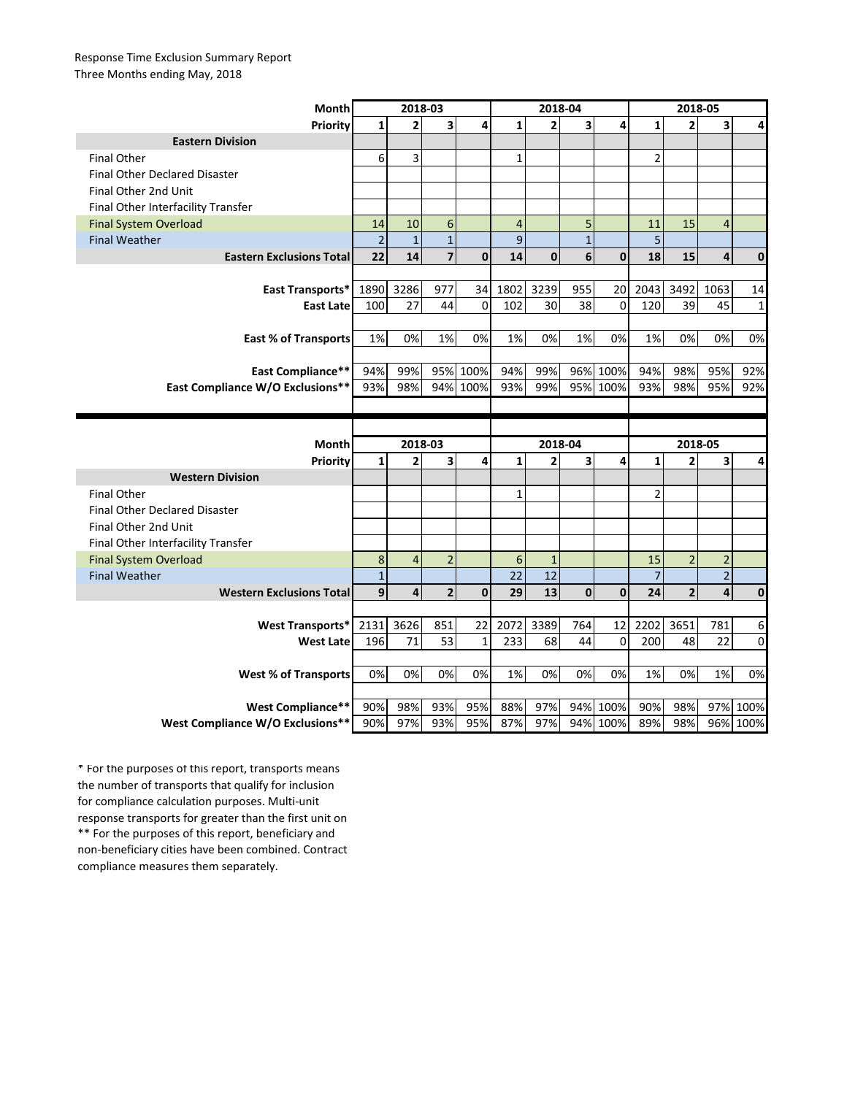## Response Time Exclusion Summary Report Three Months ending May, 2018

| Month                                | 2018-03          |                         |                         |              | 2018-04        |                |                  |              | 2018-05        |                         |                |              |
|--------------------------------------|------------------|-------------------------|-------------------------|--------------|----------------|----------------|------------------|--------------|----------------|-------------------------|----------------|--------------|
| <b>Priority</b>                      | $\mathbf{1}$     | $\overline{2}$          | 3                       | 4            | $\mathbf{1}$   | $\overline{2}$ | 3                | 4            | $\mathbf{1}$   | $\overline{2}$          | 3              | 4            |
| <b>Eastern Division</b>              |                  |                         |                         |              |                |                |                  |              |                |                         |                |              |
| <b>Final Other</b>                   | 6                | 3                       |                         |              | $\mathbf{1}$   |                |                  |              | $\overline{2}$ |                         |                |              |
| <b>Final Other Declared Disaster</b> |                  |                         |                         |              |                |                |                  |              |                |                         |                |              |
| Final Other 2nd Unit                 |                  |                         |                         |              |                |                |                  |              |                |                         |                |              |
| Final Other Interfacility Transfer   |                  |                         |                         |              |                |                |                  |              |                |                         |                |              |
| <b>Final System Overload</b>         | 14               | 10                      | 6                       |              | $\overline{4}$ |                | 5                |              | 11             | 15                      | $\overline{4}$ |              |
| <b>Final Weather</b>                 | $\overline{2}$   | $\mathbf{1}$            | $\mathbf 1$             |              | 9              |                | $\mathbf{1}$     |              | 5              |                         |                |              |
| <b>Eastern Exclusions Total</b>      | 22               | 14                      | $\overline{7}$          | $\mathbf{0}$ | 14             | $\mathbf{0}$   | $6 \overline{6}$ | $\mathbf{0}$ | 18             | 15                      | 4              | $\mathbf{0}$ |
|                                      |                  |                         |                         |              |                |                |                  |              |                |                         |                |              |
| East Transports*                     | 1890             | 3286                    | 977                     | 34           | 1802           | 3239           | 955              | 20           | 2043           | 3492                    | 1063           | 14           |
| <b>East Late</b>                     | 100              | 27                      | 44                      | $\Omega$     | 102            | 30             | 38               | $\mathbf 0$  | 120            | 39                      | 45             | $\mathbf{1}$ |
|                                      |                  |                         |                         |              |                |                |                  |              |                |                         |                |              |
| <b>East % of Transports</b>          | 1%               | 0%                      | 1%                      | 0%           | 1%             | 0%             | 1%               | 0%           | 1%             | 0%                      | 0%             | 0%           |
|                                      |                  |                         |                         |              |                |                |                  |              |                |                         |                |              |
| East Compliance**                    | 94%              | 99%                     | 95%                     | 100%         | 94%            | 99%            |                  | 96% 100%     | 94%            | 98%                     | 95%            | 92%          |
| East Compliance W/O Exclusions**     | 93%              | 98%                     | 94%                     | 100%         | 93%            | 99%            |                  | 95% 100%     | 93%            | 98%                     | 95%            | 92%          |
|                                      |                  |                         |                         |              |                |                |                  |              |                |                         |                |              |
|                                      |                  |                         |                         |              |                |                |                  |              |                |                         |                |              |
|                                      |                  |                         |                         |              |                |                |                  |              |                |                         |                |              |
| <b>Month</b>                         |                  | 2018-03                 |                         |              |                | 2018-04        |                  |              |                | 2018-05                 |                |              |
|                                      | $\mathbf{1}$     | 2                       | 3                       | 4            | $\mathbf{1}$   | $\overline{2}$ | 3                | 4            | $\mathbf{1}$   | $\overline{2}$          | 3              | 4            |
| Priority<br><b>Western Division</b>  |                  |                         |                         |              |                |                |                  |              |                |                         |                |              |
| <b>Final Other</b>                   |                  |                         |                         |              | 1              |                |                  |              | $\overline{2}$ |                         |                |              |
| <b>Final Other Declared Disaster</b> |                  |                         |                         |              |                |                |                  |              |                |                         |                |              |
| Final Other 2nd Unit                 |                  |                         |                         |              |                |                |                  |              |                |                         |                |              |
| Final Other Interfacility Transfer   |                  |                         |                         |              |                |                |                  |              |                |                         |                |              |
| <b>Final System Overload</b>         | 8                | $\overline{4}$          | $\overline{2}$          |              | 6              | $\mathbf{1}$   |                  |              | 15             | $\overline{2}$          | $\overline{2}$ |              |
| <b>Final Weather</b>                 | $1\,$            |                         |                         |              | 22             | 12             |                  |              | $\overline{7}$ |                         | $\overline{2}$ |              |
| <b>Western Exclusions Total</b>      | $\boldsymbol{9}$ | $\overline{\mathbf{4}}$ | $\overline{\mathbf{2}}$ | $\mathbf 0$  | 29             | 13             | $\bf{0}$         | $\mathbf 0$  | 24             | $\overline{\mathbf{c}}$ | 4              | $\mathbf{0}$ |
|                                      |                  |                         |                         |              |                |                |                  |              |                |                         |                |              |
| <b>West Transports*</b>              | 2131             | 3626                    | 851                     | 22           | 2072           | 3389           | 764              | 12           | 2202           | 3651                    | 781            | 6            |
| <b>West Late</b>                     | 196              | 71                      | 53                      | 1            | 233            | 68             | 44               | $\mathbf 0$  | 200            | 48                      | 22             | $\mathbf 0$  |
|                                      |                  |                         |                         |              |                |                |                  |              |                |                         |                |              |
| <b>West % of Transports</b>          | 0%               | 0%                      | 0%                      | 0%           | 1%             | 0%             | 0%               | 0%           | 1%             | 0%                      | 1%             | 0%           |
|                                      |                  |                         |                         |              |                |                |                  |              |                |                         |                |              |
| <b>West Compliance**</b>             | 90%              | 98%                     | 93%                     | 95%          | 88%            | 97%            |                  | 94% 100%     | 90%            | 98%                     |                | 97% 100%     |

\*\* For the purposes of this report, beneficiary and non-beneficiary cities have been combined. Contract compliance measures them separately. \* For the purposes of this report, transports means the number of transports that qualify for inclusion for compliance calculation purposes. Multi-unit response transports for greater than the first unit on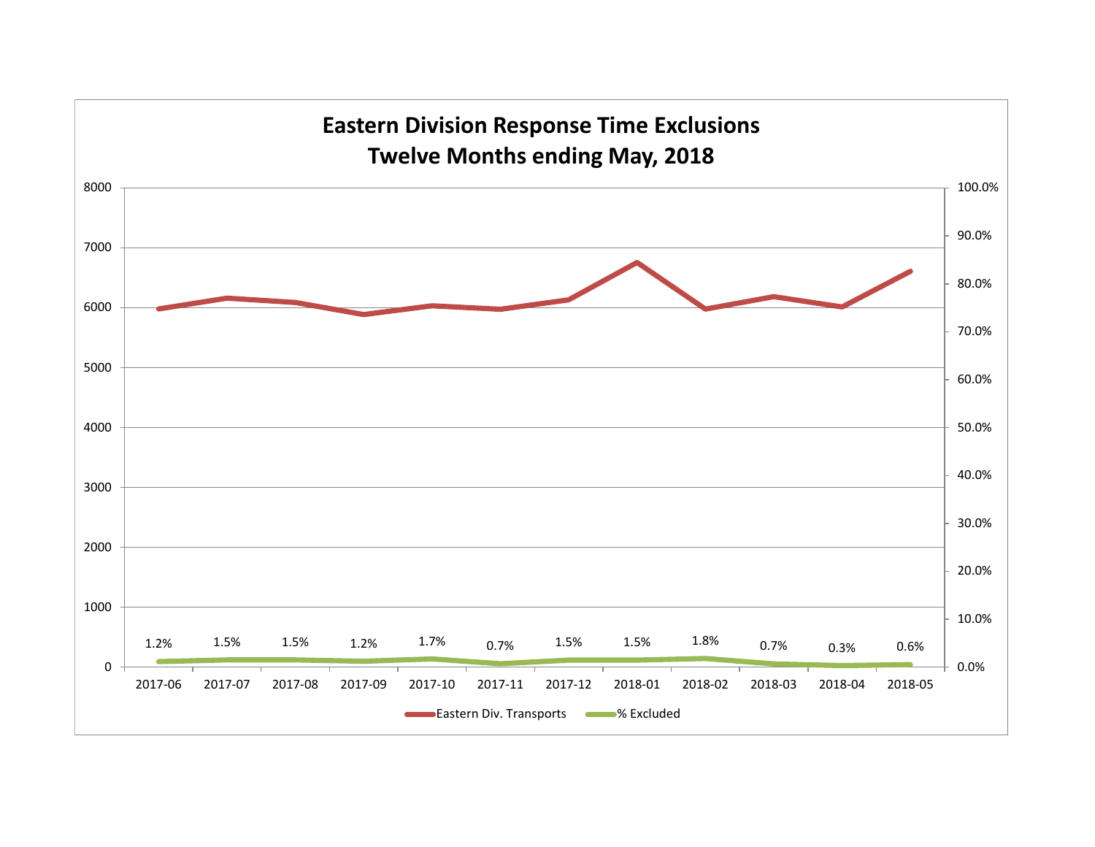